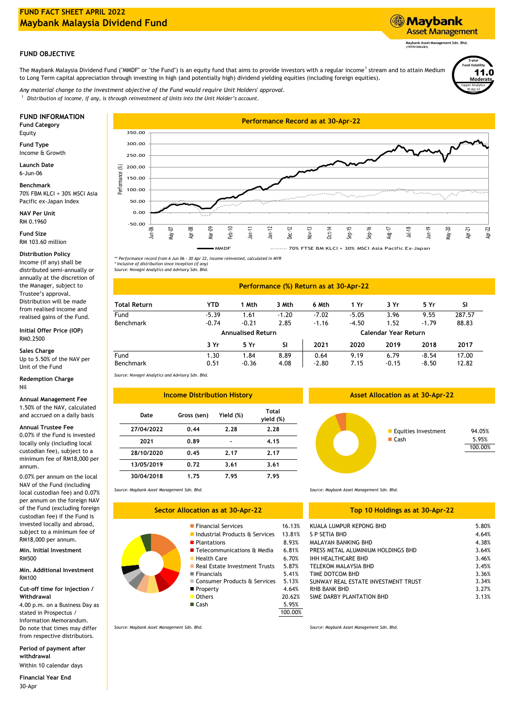## **FUND FACT SHEET APRIL 2022 Maybank Malaysia Dividend Fund**

## **FUND OBJECTIVE**

The Maybank Malaysia Dividend Fund ("MMDF" or "the Fund") is an equity fund that aims to provide investors with a regular income<sup>1</sup> stream and to attain Medium to Long Term capital appreciation through investing in high (and potentially high) dividend yielding equities (including foreign equities).

*Distribution of income, if any, is through reinvestment of Units into the Unit Holder's account.* 1 *Any material change to the investment objective of the Fund would require Unit Holders' approval.*

Equity

**Fund Type** Income & Growth

**Launch Date** 6-Jun-06

**Benchmark** 70% FBM KLCI + 30% MSCI Asia Pacific ex-Japan Index

**NAV Per Unit** RM 0.1960

**Fund Size** RM 103.60 million

Income (if any) shall be distributed semi-annually or annually at the discretion of the Manager, subject to Trustee's approval. Distribution will be made from realised income and realised gains of the Fund. **Distribution Policy**

**Initial Offer Price (IOP)** RM0.2500

**Sales Charge**

Up to 5.50% of the NAV per Unit of the Fund

**Redemption Charge** Nil

**Annual Management Fee**

1.50% of the NAV, calculated and accrued on a daily basis

**Annual Trustee Fee**

0.07% if the Fund is invested locally only (including local custodian fee), subject to a minimum fee of RM18,000 per annum. **13/05/2019**

0.07% per annum on the local NAV of the Fund (including local custodian fee) and 0.07% per annum on the foreign NAV of the Fund (excluding foreign custodian fee) if the Fund is invested locally and abroad, subject to a minimum fee of RM18,000 per annum.

**Min. Initial Investment** RM500 6.70% Health Care

Min. Additional Investment **Mines and State Contract Contract Contract Contract Contract Contract Contract Contract Contract Contract Contract Contract Contract Contract Contract Contract Contract Contract Contract Contrac** RM100

**Cut-off time for injection / Withdrawal**

4.00 p.m. on a Business Day as stated in Prospectus / Information Memorandum. Do note that times may differ from respective distributors.

**Period of payment after withdrawal**

30-Apr Within 10 calendar days **Financial Year End**

**FUND INFORMATION Performance Record as at 30-Apr-22 Fund Category** 350.00 300.00 250.00 Performance (%) 200.00 150.00 100.00 a construction of the construction of the construction of the construction of the construction of the construction of the construction of the construction of the construction of the construction of the construction of the The proposed control 50.00 0.00 -50.00 Jun-06 Mar-09 Feb-10 Jan-12 Dec-12 Nov-13 Oct-14 Jun-19 May-20 May-07 Aug-17 Jul-18 Apr-21 Sep-15 Sep-16 Jan-11 خ  $\bar{9}$ MMDF 70% FTSE BM KLCI + 30% MSCI Asia Pacific Ex-Japan

Lipper Analytics **3-year Fund Volatility Moderate** 11.0 30-Apr-22

*\*\* Performance record from 6 Jun 06 - 30 Apr 22, income reinvested, calculated in MYR \* Inclusive of distribution since inception (if any) Source: Novagni Analytics and Advisory Sdn. Bhd.*

| Performance (%) Return as at 30-Apr-22 |                          |         |           |                      |         |         |         |           |
|----------------------------------------|--------------------------|---------|-----------|----------------------|---------|---------|---------|-----------|
| <b>Total Return</b>                    | <b>YTD</b>               | 1 Mth   | 3 Mth     | 6 Mth                | 1 Yr    | 3 Yr    | 5 Yr    | <b>SI</b> |
| Fund                                   | $-5.39$                  | 1.61    | $-1.20$   | $-7.02$              | $-5.05$ | 3.96    | 9.55    | 287.57    |
| Benchmark                              | $-0.74$                  | $-0.21$ | 2.85      | $-1.16$              | $-4.50$ | 1.52    | $-1.79$ | 88.83     |
|                                        | <b>Annualised Return</b> |         |           | Calendar Year Return |         |         |         |           |
|                                        | 3 Yr                     | 5 Yr    | <b>SI</b> | 2021                 | 2020    | 2019    | 2018    | 2017      |
| Fund                                   | 1.30                     | 1.84    | 8.89      | 0.64                 | 9.19    | 6.79    | $-8.54$ | 17.00     |
| Benchmark                              | 0.51                     | $-0.36$ | 4.08      | $-2.80$              | 7.15    | $-0.15$ | $-8.50$ | 12.82     |

*Source: Novagni Analytics and Advisory Sdn. Bhd.*

*Source: Maybank Asset Management Sdn. Bhd.*

| <b>Income Distribution History</b> |             |           |                    |  |  |  |  |  |  |
|------------------------------------|-------------|-----------|--------------------|--|--|--|--|--|--|
| Date                               | Gross (sen) | Yield (%) | Total<br>yield (%) |  |  |  |  |  |  |
| 27/04/2022                         | 0.44        | 2.28      | 2.28               |  |  |  |  |  |  |
| 2021                               | 0.89        |           | 4.15               |  |  |  |  |  |  |
| 28/10/2020                         | 0.45        | 2.17      | 2.17               |  |  |  |  |  |  |
| 13/05/2019                         | 0.72        | 3.61      | 3.61               |  |  |  |  |  |  |
| 30/04/2018                         | 1.75        | 7.95      | 7.95               |  |  |  |  |  |  |

**Financial Services Sector Allocation as at 30-Apr-22**

**Plantations** 

**Industrial Products & Services** 

■ Consumer Products & Services 5.13% Financials 5.41% ■ Property 4.64%

Real Estate Investment Trusts  $5.87\%$ <br>Financials  $5.41\%$ 

Telecommunications & Media 6.81%

*Source: Maybank Asset Management Sdn. Bhd.*

## **Top 10 Holdings as at 30-Apr-22**

| 16.13%  | KUALA LUMPUR KEPONG BHD             | 5.80% |
|---------|-------------------------------------|-------|
| 13.81%  | S P SETIA BHD                       | 4.64% |
| 8.93%   | MALAYAN BANKING BHD                 | 4.38% |
| 6.81%   | PRESS METAL ALUMINIUM HOLDINGS BHD  | 3.64% |
| 6.70%   | <b>IHH HEALTHCARE BHD</b>           | 3.46% |
| 5.87%   | TELEKOM MALAYSIA BHD                | 3.45% |
| 5.41%   | TIME DOTCOM BHD                     | 3.36% |
| 5.13%   | SUNWAY REAL ESTATE INVESTMENT TRUST | 3.34% |
| 4.64%   | RHB BANK BHD                        | 3.27% |
| 20.62%  | SIME DARBY PLANTATION BHD           | 3.13% |
| 5.95%   |                                     |       |
| 100.00% |                                     |       |

*Source: Maybank Asset Management Sdn. Bhd.*

*Source: Maybank Asset Management Sdn. Bhd.*

**Asset Allocation as at 30-Apr-22**



## ■ Others 20.62% ■ Cash 5.95%

**Maybank Asset Management Sdn. Bhd. (199701006283)**

**Asset Management**